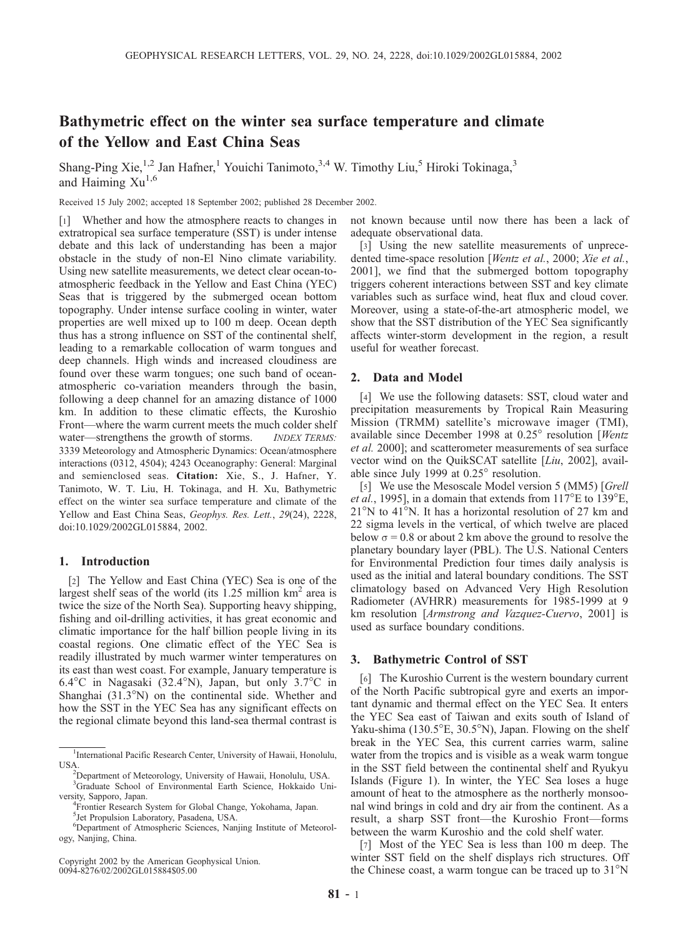# Bathymetric effect on the winter sea surface temperature and climate of the Yellow and East China Seas

Shang-Ping Xie,<sup>1,2</sup> Jan Hafner,<sup>1</sup> Youichi Tanimoto,<sup>3,4</sup> W. Timothy Liu,<sup>5</sup> Hiroki Tokinaga,<sup>3</sup> and Haiming  $Xu^{1,6}$ 

Received 15 July 2002; accepted 18 September 2002; published 28 December 2002.

[1] Whether and how the atmosphere reacts to changes in extratropical sea surface temperature (SST) is under intense debate and this lack of understanding has been a major obstacle in the study of non-El Nino climate variability. Using new satellite measurements, we detect clear ocean-toatmospheric feedback in the Yellow and East China (YEC) Seas that is triggered by the submerged ocean bottom topography. Under intense surface cooling in winter, water properties are well mixed up to 100 m deep. Ocean depth thus has a strong influence on SST of the continental shelf, leading to a remarkable collocation of warm tongues and deep channels. High winds and increased cloudiness are found over these warm tongues; one such band of oceanatmospheric co-variation meanders through the basin, following a deep channel for an amazing distance of 1000 km. In addition to these climatic effects, the Kuroshio Front—where the warm current meets the much colder shelf water—strengthens the growth of storms. INDEX TERMS: 3339 Meteorology and Atmospheric Dynamics: Ocean/atmosphere interactions (0312, 4504); 4243 Oceanography: General: Marginal and semienclosed seas. Citation: Xie, S., J. Hafner, Y. Tanimoto, W. T. Liu, H. Tokinaga, and H. Xu, Bathymetric effect on the winter sea surface temperature and climate of the Yellow and East China Seas, Geophys. Res. Lett., 29(24), 2228, doi:10.1029/2002GL015884, 2002.

### 1. Introduction

[2] The Yellow and East China (YEC) Sea is one of the largest shelf seas of the world (its  $1.25$  million km<sup>2</sup> area is twice the size of the North Sea). Supporting heavy shipping, fishing and oil-drilling activities, it has great economic and climatic importance for the half billion people living in its coastal regions. One climatic effect of the YEC Sea is readily illustrated by much warmer winter temperatures on its east than west coast. For example, January temperature is 6.4°C in Nagasaki (32.4°N), Japan, but only 3.7°C in Shanghai  $(31.3°N)$  on the continental side. Whether and how the SST in the YEC Sea has any significant effects on the regional climate beyond this land-sea thermal contrast is

Copyright 2002 by the American Geophysical Union. 0094-8276/02/2002GL015884\$05.00

not known because until now there has been a lack of adequate observational data.

[3] Using the new satellite measurements of unprecedented time-space resolution [Wentz et al., 2000; Xie et al., 2001], we find that the submerged bottom topography triggers coherent interactions between SST and key climate variables such as surface wind, heat flux and cloud cover. Moreover, using a state-of-the-art atmospheric model, we show that the SST distribution of the YEC Sea significantly affects winter-storm development in the region, a result useful for weather forecast.

### 2. Data and Model

[4] We use the following datasets: SST, cloud water and precipitation measurements by Tropical Rain Measuring Mission (TRMM) satellite's microwave imager (TMI), available since December 1998 at  $0.25^{\circ}$  resolution [Wentz et al. 2000]; and scatterometer measurements of sea surface vector wind on the QuikSCAT satellite [Liu, 2002], available since July 1999 at  $0.25^{\circ}$  resolution.

[5] We use the Mesoscale Model version 5 (MM5) [Grell] *et al.*, 1995], in a domain that extends from  $117^{\circ}$ E to  $139^{\circ}$ E,  $21^{\circ}$ N to 41<sup>o</sup>N. It has a horizontal resolution of 27 km and 22 sigma levels in the vertical, of which twelve are placed below  $\sigma$  = 0.8 or about 2 km above the ground to resolve the planetary boundary layer (PBL). The U.S. National Centers for Environmental Prediction four times daily analysis is used as the initial and lateral boundary conditions. The SST climatology based on Advanced Very High Resolution Radiometer (AVHRR) measurements for 1985-1999 at 9 km resolution [Armstrong and Vazquez-Cuervo, 2001] is used as surface boundary conditions.

#### 3. Bathymetric Control of SST

[6] The Kuroshio Current is the western boundary current of the North Pacific subtropical gyre and exerts an important dynamic and thermal effect on the YEC Sea. It enters the YEC Sea east of Taiwan and exits south of Island of Yaku-shima (130.5 $\mathrm{E}$ , 30.5 $\mathrm{N}$ ), Japan. Flowing on the shelf break in the YEC Sea, this current carries warm, saline water from the tropics and is visible as a weak warm tongue in the SST field between the continental shelf and Ryukyu Islands (Figure 1). In winter, the YEC Sea loses a huge amount of heat to the atmosphere as the northerly monsoonal wind brings in cold and dry air from the continent. As a result, a sharp SST front—the Kuroshio Front—forms between the warm Kuroshio and the cold shelf water.

[7] Most of the YEC Sea is less than 100 m deep. The winter SST field on the shelf displays rich structures. Off the Chinese coast, a warm tongue can be traced up to  $31^{\circ}$ N

<sup>&</sup>lt;sup>1</sup>International Pacific Research Center, University of Hawaii, Honolulu, USA

<sup>&</sup>lt;sup>2</sup>Department of Meteorology, University of Hawaii, Honolulu, USA.

<sup>3</sup> Graduate School of Environmental Earth Science, Hokkaido University, Sapporo, Japan. <sup>4</sup>

<sup>&</sup>lt;sup>4</sup> Frontier Research System for Global Change, Yokohama, Japan. 5 Jet Propulsion Laboratory, Pasadena, USA.

<sup>6</sup> Department of Atmospheric Sciences, Nanjing Institute of Meteorology, Nanjing, China.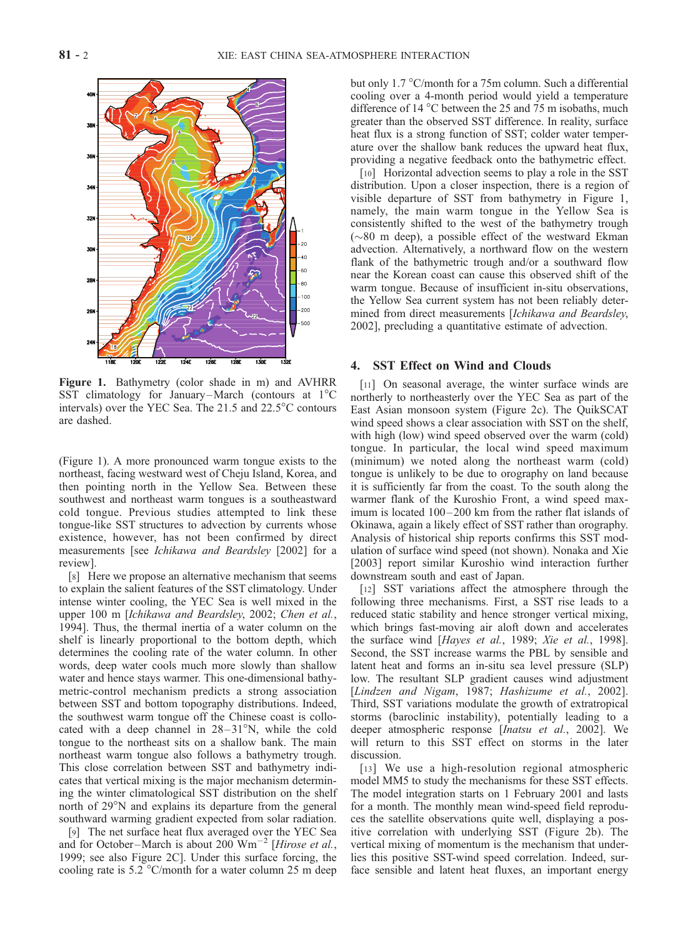

Figure 1. Bathymetry (color shade in m) and AVHRR SST climatology for January–March (contours at  $1^{\circ}$ C intervals) over the YEC Sea. The  $21.5$  and  $22.5^{\circ}$ C contours are dashed.

(Figure 1). A more pronounced warm tongue exists to the northeast, facing westward west of Cheju Island, Korea, and then pointing north in the Yellow Sea. Between these southwest and northeast warm tongues is a southeastward cold tongue. Previous studies attempted to link these tongue-like SST structures to advection by currents whose existence, however, has not been confirmed by direct measurements [see Ichikawa and Beardsley [2002] for a review].

[8] Here we propose an alternative mechanism that seems to explain the salient features of the SST climatology. Under intense winter cooling, the YEC Sea is well mixed in the upper 100 m [Ichikawa and Beardsley, 2002; Chen et al., 1994]. Thus, the thermal inertia of a water column on the shelf is linearly proportional to the bottom depth, which determines the cooling rate of the water column. In other words, deep water cools much more slowly than shallow water and hence stays warmer. This one-dimensional bathymetric-control mechanism predicts a strong association between SST and bottom topography distributions. Indeed, the southwest warm tongue off the Chinese coast is collocated with a deep channel in  $28-31^{\circ}N$ , while the cold tongue to the northeast sits on a shallow bank. The main northeast warm tongue also follows a bathymetry trough. This close correlation between SST and bathymetry indicates that vertical mixing is the major mechanism determining the winter climatological SST distribution on the shelf north of  $29^{\circ}$ N and explains its departure from the general southward warming gradient expected from solar radiation.

[9] The net surface heat flux averaged over the YEC Sea and for October–March is about 200  $Wm^{-2}$  [Hirose et al., 1999; see also Figure 2C]. Under this surface forcing, the cooling rate is  $5.2 \text{°C/month}$  for a water column 25 m deep

but only 1.7 °C/month for a 75m column. Such a differential cooling over a 4-month period would yield a temperature difference of 14  $^{\circ}$ C between the 25 and 75 m isobaths, much greater than the observed SST difference. In reality, surface heat flux is a strong function of SST; colder water temperature over the shallow bank reduces the upward heat flux, providing a negative feedback onto the bathymetric effect.

[10] Horizontal advection seems to play a role in the SST distribution. Upon a closer inspection, there is a region of visible departure of SST from bathymetry in Figure 1, namely, the main warm tongue in the Yellow Sea is consistently shifted to the west of the bathymetry trough  $(\sim 80$  m deep), a possible effect of the westward Ekman advection. Alternatively, a northward flow on the western flank of the bathymetric trough and/or a southward flow near the Korean coast can cause this observed shift of the warm tongue. Because of insufficient in-situ observations, the Yellow Sea current system has not been reliably determined from direct measurements [Ichikawa and Beardsley, 2002], precluding a quantitative estimate of advection.

### 4. SST Effect on Wind and Clouds

[11] On seasonal average, the winter surface winds are northerly to northeasterly over the YEC Sea as part of the East Asian monsoon system (Figure 2c). The QuikSCAT wind speed shows a clear association with SST on the shelf, with high (low) wind speed observed over the warm (cold) tongue. In particular, the local wind speed maximum (minimum) we noted along the northeast warm (cold) tongue is unlikely to be due to orography on land because it is sufficiently far from the coast. To the south along the warmer flank of the Kuroshio Front, a wind speed maximum is located  $100 - 200$  km from the rather flat islands of Okinawa, again a likely effect of SST rather than orography. Analysis of historical ship reports confirms this SST modulation of surface wind speed (not shown). Nonaka and Xie [2003] report similar Kuroshio wind interaction further downstream south and east of Japan.

[12] SST variations affect the atmosphere through the following three mechanisms. First, a SST rise leads to a reduced static stability and hence stronger vertical mixing, which brings fast-moving air aloft down and accelerates the surface wind [Hayes et al., 1989; Xie et al., 1998]. Second, the SST increase warms the PBL by sensible and latent heat and forms an in-situ sea level pressure (SLP) low. The resultant SLP gradient causes wind adjustment [Lindzen and Nigam, 1987; Hashizume et al., 2002]. Third, SST variations modulate the growth of extratropical storms (baroclinic instability), potentially leading to a deeper atmospheric response [Inatsu et al., 2002]. We will return to this SST effect on storms in the later discussion.

[13] We use a high-resolution regional atmospheric model MM5 to study the mechanisms for these SST effects. The model integration starts on 1 February 2001 and lasts for a month. The monthly mean wind-speed field reproduces the satellite observations quite well, displaying a positive correlation with underlying SST (Figure 2b). The vertical mixing of momentum is the mechanism that underlies this positive SST-wind speed correlation. Indeed, surface sensible and latent heat fluxes, an important energy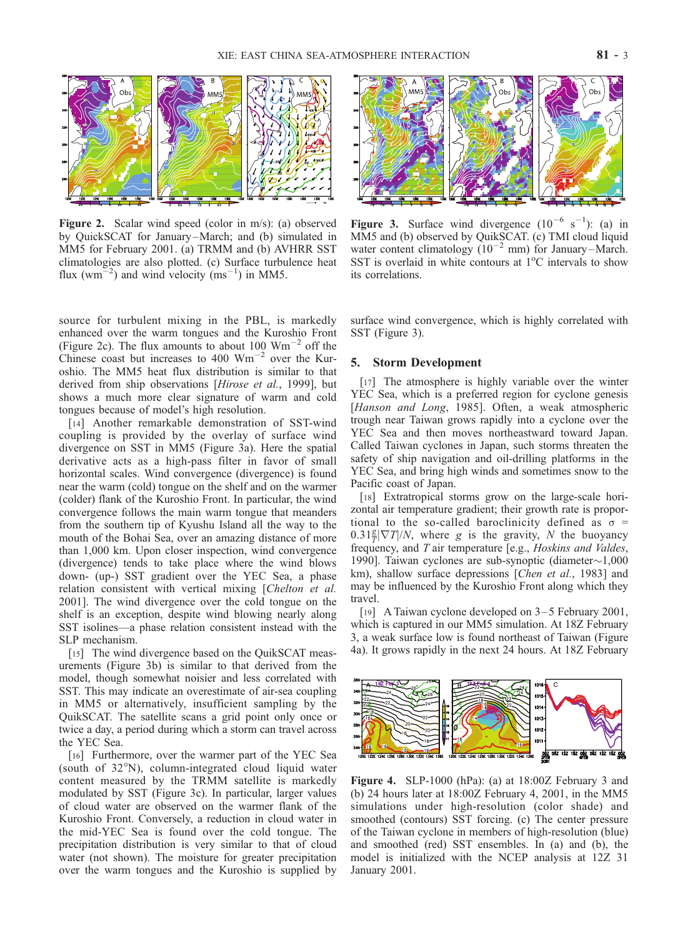

Figure 2. Scalar wind speed (color in m/s): (a) observed by QuickSCAT for January –March; and (b) simulated in MM5 for February 2001. (a) TRMM and (b) AVHRR SST climatologies are also plotted. (c) Surface turbulence heat flux (wm<sup> $=$ 2</sup>) and wind velocity (ms<sup>-1</sup>) in MM5.



**Figure 3.** Surface wind divergence  $(10^{-6} \text{ s}^{-1})$ : (a) in MM5 and (b) observed by QuikSCAT. (c) TMI cloud liquid water content climatology  $(10^{-2}$  mm) for January-March. SST is overlaid in white contours at  $1^{\circ}$ C intervals to show its correlations.

source for turbulent mixing in the PBL, is markedly enhanced over the warm tongues and the Kuroshio Front (Figure 2c). The flux amounts to about 100  $\text{Wm}^{-2}$  off the Chinese coast but increases to 400  $\text{Wm}^{-2}$  over the Kuroshio. The MM5 heat flux distribution is similar to that derived from ship observations [Hirose et al., 1999], but shows a much more clear signature of warm and cold tongues because of model's high resolution.

[14] Another remarkable demonstration of SST-wind coupling is provided by the overlay of surface wind divergence on SST in MM5 (Figure 3a). Here the spatial derivative acts as a high-pass filter in favor of small horizontal scales. Wind convergence (divergence) is found near the warm (cold) tongue on the shelf and on the warmer (colder) flank of the Kuroshio Front. In particular, the wind convergence follows the main warm tongue that meanders from the southern tip of Kyushu Island all the way to the mouth of the Bohai Sea, over an amazing distance of more than 1,000 km. Upon closer inspection, wind convergence (divergence) tends to take place where the wind blows down- (up-) SST gradient over the YEC Sea, a phase relation consistent with vertical mixing [Chelton et al. 2001]. The wind divergence over the cold tongue on the shelf is an exception, despite wind blowing nearly along SST isolines—a phase relation consistent instead with the SLP mechanism.

[15] The wind divergence based on the QuikSCAT measurements (Figure 3b) is similar to that derived from the model, though somewhat noisier and less correlated with SST. This may indicate an overestimate of air-sea coupling in MM5 or alternatively, insufficient sampling by the QuikSCAT. The satellite scans a grid point only once or twice a day, a period during which a storm can travel across the YEC Sea.

[16] Furthermore, over the warmer part of the YEC Sea (south of  $32^{\circ}$ N), column-integrated cloud liquid water content measured by the TRMM satellite is markedly modulated by SST (Figure 3c). In particular, larger values of cloud water are observed on the warmer flank of the Kuroshio Front. Conversely, a reduction in cloud water in the mid-YEC Sea is found over the cold tongue. The precipitation distribution is very similar to that of cloud water (not shown). The moisture for greater precipitation over the warm tongues and the Kuroshio is supplied by

surface wind convergence, which is highly correlated with SST (Figure 3).

## 5. Storm Development

[17] The atmosphere is highly variable over the winter YEC Sea, which is a preferred region for cyclone genesis [Hanson and Long, 1985]. Often, a weak atmospheric trough near Taiwan grows rapidly into a cyclone over the YEC Sea and then moves northeastward toward Japan. Called Taiwan cyclones in Japan, such storms threaten the safety of ship navigation and oil-drilling platforms in the YEC Sea, and bring high winds and sometimes snow to the Pacific coast of Japan.

[18] Extratropical storms grow on the large-scale horizontal air temperature gradient; their growth rate is proportional to the so-called baroclinicity defined as  $\sigma$  =  $0.31 \frac{g}{T} |\nabla T|/N$ , where g is the gravity, N the buoyancy frequency, and T air temperature [e.g., Hoskins and Valdes, 1990]. Taiwan cyclones are sub-synoptic (diameter $\sim$ 1,000 km), shallow surface depressions [Chen et al., 1983] and may be influenced by the Kuroshio Front along which they travel.

[19] A Taiwan cyclone developed on 3–5 February 2001, which is captured in our MM5 simulation. At 18Z February 3, a weak surface low is found northeast of Taiwan (Figure 4a). It grows rapidly in the next 24 hours. At 18Z February



Figure 4. SLP-1000 (hPa): (a) at 18:00Z February 3 and (b) 24 hours later at 18:00Z February 4, 2001, in the MM5 simulations under high-resolution (color shade) and smoothed (contours) SST forcing. (c) The center pressure of the Taiwan cyclone in members of high-resolution (blue) and smoothed (red) SST ensembles. In (a) and (b), the model is initialized with the NCEP analysis at 12Z 31 January 2001.